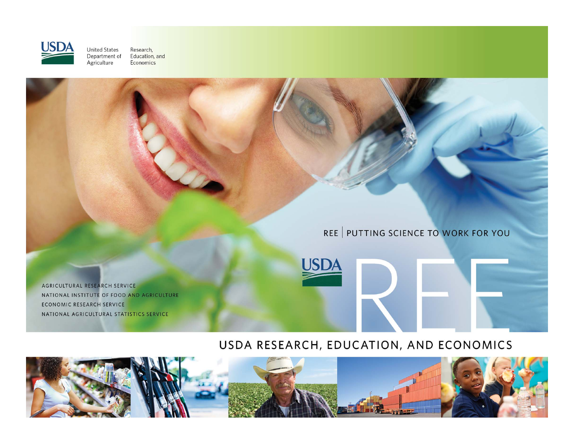

Research,<br>Education, and **United States** Department of<br>Agriculture Economics

### REE | PUTTING SCIENCE TO WORK FOR YOU

AGRICULTURAL RESEARCH SERVICE NATIONAL INSTITUTE OF FOOD AND AGRICULTURE ECONOMIC RESEARCH SERVICE NATIONAL AGRICULTURAL STATISTICS SERVICE

### USDA RESEARCH, EDUCATION, AND ECONOMICS

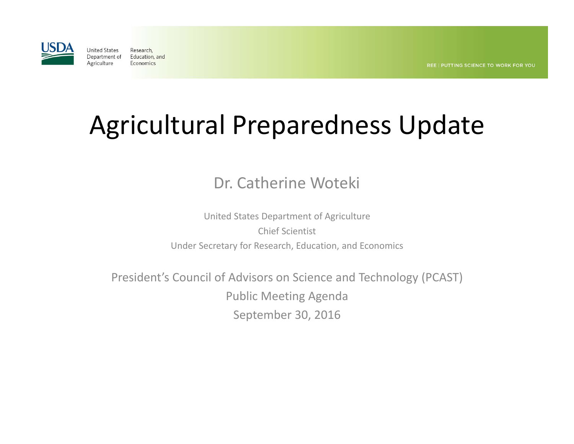

# Agricultural Preparedness Update

## Dr. Catherine Woteki

United States Department of Agriculture Chief ScientistUnder Secretary for Research, Education, and Economics

President's Council of Advisors on Science and Technology (PCAST) Public Meeting Agenda September 30, 2016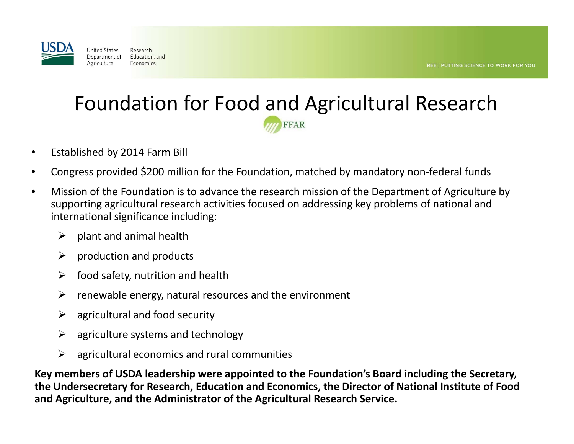

## Foundation for Food and Agricultural ResearchFFAR

- $\bullet$ Established by 2014 Farm Bill
- •Congress provided \$200 million for the Foundation, matched by mandatory non‐federal funds
- • Mission of the Foundation is to advance the research mission of the Department of Agriculture by supporting agricultural research activities focused on addressing key problems of national and international significance including:
	- $\blacktriangleright$ plant and animal health
	- ➤ production and products
	- ➤ food safety, nutrition and health
	- $\blacktriangleright$ renewable energy, natural resources and the environment
	- ➤ agricultural and food security
	- $\blacktriangleright$ agriculture systems and technology
	- $\blacktriangleright$ agricultural economics and rural communities

**Key members of USDA leadership were appointed to the Foundation's Board including the Secretary, the Undersecretary for Research, Education and Economics, the Director of National Institute of Food and Agriculture, and the Administrator of the Agricultural Research Service.**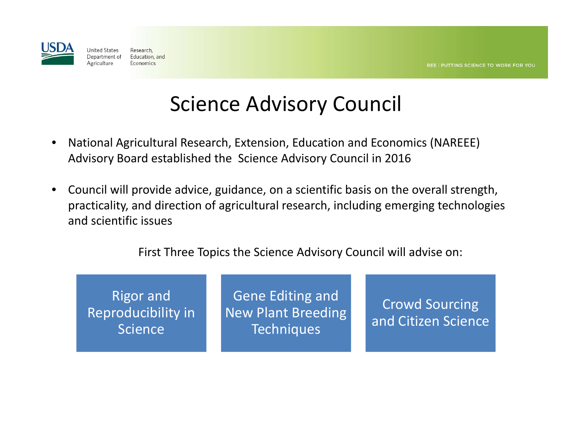

## Science Advisory Council

- • National Agricultural Research, Extension, Education and Economics (NAREEE) Advisory Board established the Science Advisory Council in 2016
- • Council will provide advice, guidance, on <sup>a</sup> scientific basis on the overall strength, practicality, and direction of agricultural research, including emerging technologies and scientific issues

First Three Topics the Science Advisory Council will advise on:

Rigor and Reproducibility in **Science** 

Gene Editing and New Plant Breeding **Techniques** 

Crowd Sourcing and Citizen Science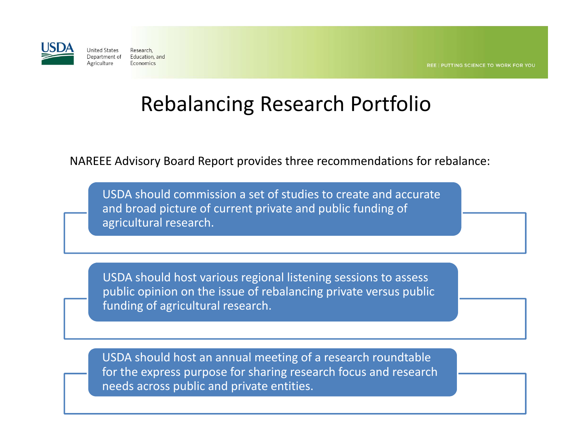

## Rebalancing Research Portfolio

NAREEE Advisory Board Report provides three recommendations for rebalance:

USDA should commission <sup>a</sup> set of studies to create and accurate and broad picture of current private and public funding of agricultural research.

USDA should host various regional listening sessions to assess public opinion on the issue of rebalancing private versus public funding of agricultural research.

USDA should host an annual meeting of <sup>a</sup> research roundtable for the express purpose for sharing research focus and research needs across public and private entities.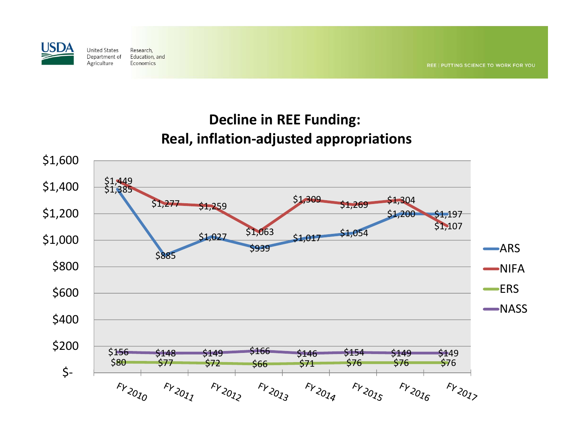

## **Decline in REE Funding: Real, inflation‐adjusted appropriations**